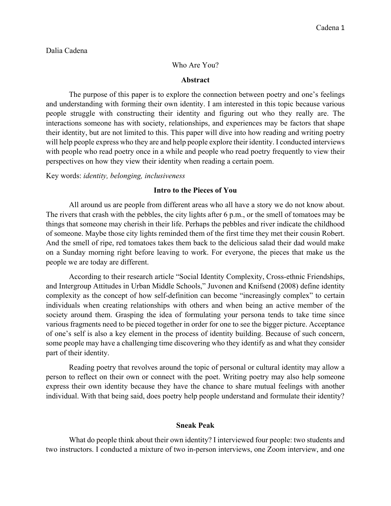### Dalia Cadena

#### Who Are You?

#### **Abstract**

The purpose of this paper is to explore the connection between poetry and one's feelings and understanding with forming their own identity. I am interested in this topic because various people struggle with constructing their identity and figuring out who they really are. The interactions someone has with society, relationships, and experiences may be factors that shape their identity, but are not limited to this. This paper will dive into how reading and writing poetry will help people express who they are and help people explore their identity. I conducted interviews with people who read poetry once in a while and people who read poetry frequently to view their perspectives on how they view their identity when reading a certain poem.

Key words: *identity, belonging, inclusiveness*

### **Intro to the Pieces of You**

All around us are people from different areas who all have a story we do not know about. The rivers that crash with the pebbles, the city lights after 6 p.m., or the smell of tomatoes may be things that someone may cherish in their life. Perhaps the pebbles and river indicate the childhood of someone. Maybe those city lights reminded them of the first time they met their cousin Robert. And the smell of ripe, red tomatoes takes them back to the delicious salad their dad would make on a Sunday morning right before leaving to work. For everyone, the pieces that make us the people we are today are different.

According to their research article "Social Identity Complexity, Cross-ethnic Friendships, and Intergroup Attitudes in Urban Middle Schools," Juvonen and Knifsend (2008) define identity complexity as the concept of how self-definition can become "increasingly complex" to certain individuals when creating relationships with others and when being an active member of the society around them. Grasping the idea of formulating your persona tends to take time since various fragments need to be pieced together in order for one to see the bigger picture. Acceptance of one's self is also a key element in the process of identity building. Because of such concern, some people may have a challenging time discovering who they identify as and what they consider part of their identity.

Reading poetry that revolves around the topic of personal or cultural identity may allow a person to reflect on their own or connect with the poet. Writing poetry may also help someone express their own identity because they have the chance to share mutual feelings with another individual. With that being said, does poetry help people understand and formulate their identity?

#### **Sneak Peak**

What do people think about their own identity? I interviewed four people: two students and two instructors. I conducted a mixture of two in-person interviews, one Zoom interview, and one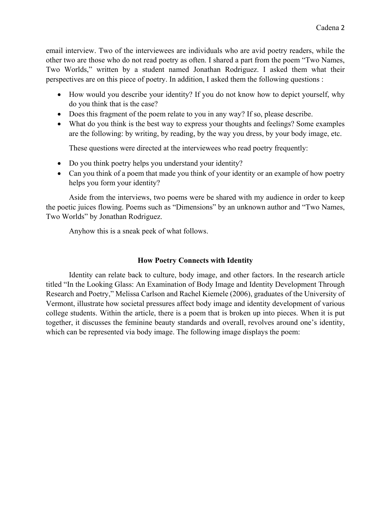email interview. Two of the interviewees are individuals who are avid poetry readers, while the other two are those who do not read poetry as often. I shared a part from the poem "Two Names, Two Worlds," written by a student named Jonathan Rodriguez. I asked them what their perspectives are on this piece of poetry. In addition, I asked them the following questions :

- How would you describe your identity? If you do not know how to depict yourself, why do you think that is the case?
- Does this fragment of the poem relate to you in any way? If so, please describe.
- What do you think is the best way to express your thoughts and feelings? Some examples are the following: by writing, by reading, by the way you dress, by your body image, etc.

These questions were directed at the interviewees who read poetry frequently:

- Do you think poetry helps you understand your identity?
- Can you think of a poem that made you think of your identity or an example of how poetry helps you form your identity?

Aside from the interviews, two poems were be shared with my audience in order to keep the poetic juices flowing. Poems such as "Dimensions" by an unknown author and "Two Names, Two Worlds" by Jonathan Rodriguez.

Anyhow this is a sneak peek of what follows.

# **How Poetry Connects with Identity**

Identity can relate back to culture, body image, and other factors. In the research article titled "In the Looking Glass: An Examination of Body Image and Identity Development Through Research and Poetry," Melissa Carlson and Rachel Kiemele (2006), graduates of the University of Vermont, illustrate how societal pressures affect body image and identity development of various college students. Within the article, there is a poem that is broken up into pieces. When it is put together, it discusses the feminine beauty standards and overall, revolves around one's identity, which can be represented via body image. The following image displays the poem: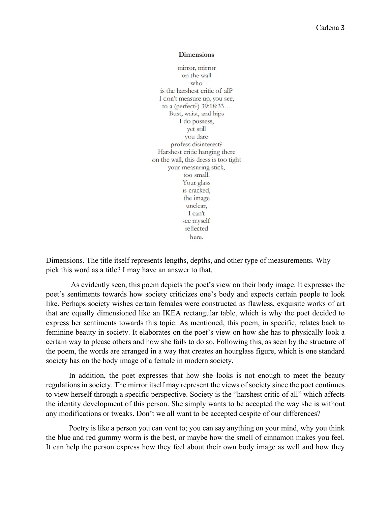#### **Dimensions**

mirror, mirror on the wall who is the harshest critic of all? I don't measure up, you see, to a (perfect?)  $39:18:33...$ Bust, waist, and hips I do possess, yet still you dare profess disinterest? Harshest critic hanging there on the wall, this dress is too tight your measuring stick, too small. Your glass is cracked, the image unclear, I can't see myself reflected here.

Dimensions. The title itself represents lengths, depths, and other type of measurements. Why pick this word as a title? I may have an answer to that.

As evidently seen, this poem depicts the poet's view on their body image. It expresses the poet's sentiments towards how society criticizes one's body and expects certain people to look like. Perhaps society wishes certain females were constructed as flawless, exquisite works of art that are equally dimensioned like an IKEA rectangular table, which is why the poet decided to express her sentiments towards this topic. As mentioned, this poem, in specific, relates back to feminine beauty in society. It elaborates on the poet's view on how she has to physically look a certain way to please others and how she fails to do so. Following this, as seen by the structure of the poem, the words are arranged in a way that creates an hourglass figure, which is one standard society has on the body image of a female in modern society.

In addition, the poet expresses that how she looks is not enough to meet the beauty regulations in society. The mirror itself may represent the views of society since the poet continues to view herself through a specific perspective. Society is the "harshest critic of all" which affects the identity development of this person. She simply wants to be accepted the way she is without any modifications or tweaks. Don't we all want to be accepted despite of our differences?

Poetry is like a person you can vent to; you can say anything on your mind, why you think the blue and red gummy worm is the best, or maybe how the smell of cinnamon makes you feel. It can help the person express how they feel about their own body image as well and how they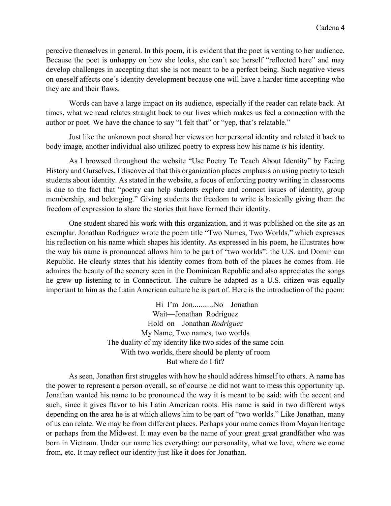perceive themselves in general. In this poem, it is evident that the poet is venting to her audience. Because the poet is unhappy on how she looks, she can't see herself "reflected here" and may develop challenges in accepting that she is not meant to be a perfect being. Such negative views on oneself affects one's identity development because one will have a harder time accepting who they are and their flaws.

Words can have a large impact on its audience, especially if the reader can relate back. At times, what we read relates straight back to our lives which makes us feel a connection with the author or poet. We have the chance to say "I felt that" or "yep, that's relatable."

Just like the unknown poet shared her views on her personal identity and related it back to body image, another individual also utilized poetry to express how his name *is* his identity.

As I browsed throughout the website "Use Poetry To Teach About Identity" by Facing History and Ourselves, I discovered that this organization places emphasis on using poetry to teach students about identity. As stated in the website, a focus of enforcing poetry writing in classrooms is due to the fact that "poetry can help students explore and connect issues of identity, group membership, and belonging." Giving students the freedom to write is basically giving them the freedom of expression to share the stories that have formed their identity.

One student shared his work with this organization, and it was published on the site as an exemplar. Jonathan Rodriguez wrote the poem title "Two Names, Two Worlds," which expresses his reflection on his name which shapes his identity. As expressed in his poem, he illustrates how the way his name is pronounced allows him to be part of "two worlds": the U.S. and Dominican Republic. He clearly states that his identity comes from both of the places he comes from. He admires the beauty of the scenery seen in the Dominican Republic and also appreciates the songs he grew up listening to in Connecticut. The culture he adapted as a U.S. citizen was equally important to him as the Latin American culture he is part of. Here is the introduction of the poem:

> Hi I'm Jon...........No—Jonathan Wait—Jonathan Rodríguez Hold on—Jonathan *Rodríguez* My Name, Two names, two worlds The duality of my identity like two sides of the same coin With two worlds, there should be plenty of room But where do I fit?

As seen, Jonathan first struggles with how he should address himself to others. A name has the power to represent a person overall, so of course he did not want to mess this opportunity up. Jonathan wanted his name to be pronounced the way it is meant to be said: with the accent and such, since it gives flavor to his Latin American roots. His name is said in two different ways depending on the area he is at which allows him to be part of "two worlds." Like Jonathan, many of us can relate. We may be from different places. Perhaps your name comes from Mayan heritage or perhaps from the Midwest. It may even be the name of your great great grandfather who was born in Vietnam. Under our name lies everything: our personality, what we love, where we come from, etc. It may reflect our identity just like it does for Jonathan.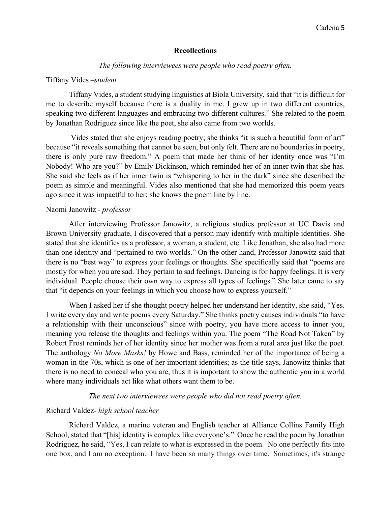### **Recollections**

#### *The following interviewees were people who read poetry often.*

#### Tiffany Vides –*student*

Tiffany Vides, a student studying linguistics at Biola University, said that "it is difficult for me to describe myself because there is a duality in me. I grew up in two different countries, speaking two different languages and embracing two different cultures." She related to the poem by Jonathan Rodriguez since like the poet, she also came from two worlds.

Vides stated that she enjoys reading poetry; she thinks "it is such a beautiful form of art" because "it reveals something that cannot be seen, but only felt. There are no boundaries in poetry, there is only pure raw freedom." A poem that made her think of her identity once was "I'm Nobody! Who are you?" by Emily Dickinson, which reminded her of an inner twin that she has. She said she feels as if her inner twin is "whispering to her in the dark" since she described the poem as simple and meaningful. Vides also mentioned that she had memorized this poem years ago since it was impactful to her; she knows the poem line by line.

### Naomi Janowitz - *professor*

After interviewing Professor Janowitz, a religious studies professor at UC Davis and Brown University graduate, I discovered that a person may identify with multiple identities. She stated that she identifies as a professor, a woman, a student, etc. Like Jonathan, she also had more than one identity and "pertained to two worlds." On the other hand, Professor Janowitz said that there is no "best way" to express your feelings or thoughts. She specifically said that "poems are mostly for when you are sad. They pertain to sad feelings. Dancing is for happy feelings. It is very individual. People choose their own way to express all types of feelings." She later came to say that "it depends on your feelings in which you choose how to express yourself."

When I asked her if she thought poetry helped her understand her identity, she said, "Yes. I write every day and write poems every Saturday." She thinks poetry causes individuals "to have a relationship with their unconscious" since with poetry, you have more access to inner you, meaning you release the thoughts and feelings within you. The poem "The Road Not Taken" by Robert Frost reminds her of her identity since her mother was from a rural area just like the poet. The anthology *No More Masks!* by Howe and Bass, reminded her of the importance of being a woman in the 70s, which is one of her important identities; as the title says, Janowitz thinks that there is no need to conceal who you are, thus it is important to show the authentic you in a world where many individuals act like what others want them to be.

#### *The next two interviewees were people who did not read poetry often.*

### Richard Valdez- *high school teacher*

Richard Valdez, a marine veteran and English teacher at Alliance Collins Family High School, stated that "[his] identity is complex like everyone's." Once he read the poem by Jonathan Rodriguez, he said, "Yes, I can relate to what is expressed in the poem. No one perfectly fits into one box, and I am no exception. I have been so many things over time. Sometimes, it's strange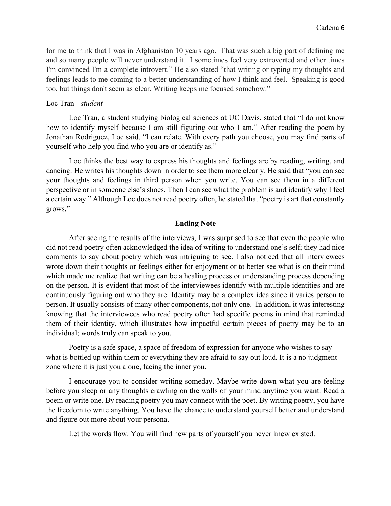for me to think that I was in Afghanistan 10 years ago. That was such a big part of defining me and so many people will never understand it. I sometimes feel very extroverted and other times I'm convinced I'm a complete introvert." He also stated "that writing or typing my thoughts and feelings leads to me coming to a better understanding of how I think and feel. Speaking is good too, but things don't seem as clear. Writing keeps me focused somehow."

## Loc Tran *- student*

Loc Tran, a student studying biological sciences at UC Davis, stated that "I do not know how to identify myself because I am still figuring out who I am." After reading the poem by Jonathan Rodriguez, Loc said, "I can relate. With every path you choose, you may find parts of yourself who help you find who you are or identify as."

Loc thinks the best way to express his thoughts and feelings are by reading, writing, and dancing. He writes his thoughts down in order to see them more clearly. He said that "you can see your thoughts and feelings in third person when you write. You can see them in a different perspective or in someone else's shoes. Then I can see what the problem is and identify why I feel a certain way." Although Loc does not read poetry often, he stated that "poetry is art that constantly grows."

# **Ending Note**

After seeing the results of the interviews, I was surprised to see that even the people who did not read poetry often acknowledged the idea of writing to understand one's self; they had nice comments to say about poetry which was intriguing to see. I also noticed that all interviewees wrote down their thoughts or feelings either for enjoyment or to better see what is on their mind which made me realize that writing can be a healing process or understanding process depending on the person. It is evident that most of the interviewees identify with multiple identities and are continuously figuring out who they are. Identity may be a complex idea since it varies person to person. It usually consists of many other components, not only one. In addition, it was interesting knowing that the interviewees who read poetry often had specific poems in mind that reminded them of their identity, which illustrates how impactful certain pieces of poetry may be to an individual; words truly can speak to you.

Poetry is a safe space, a space of freedom of expression for anyone who wishes to say what is bottled up within them or everything they are afraid to say out loud. It is a no judgment zone where it is just you alone, facing the inner you.

I encourage you to consider writing someday. Maybe write down what you are feeling before you sleep or any thoughts crawling on the walls of your mind anytime you want. Read a poem or write one. By reading poetry you may connect with the poet. By writing poetry, you have the freedom to write anything. You have the chance to understand yourself better and understand and figure out more about your persona.

Let the words flow. You will find new parts of yourself you never knew existed.